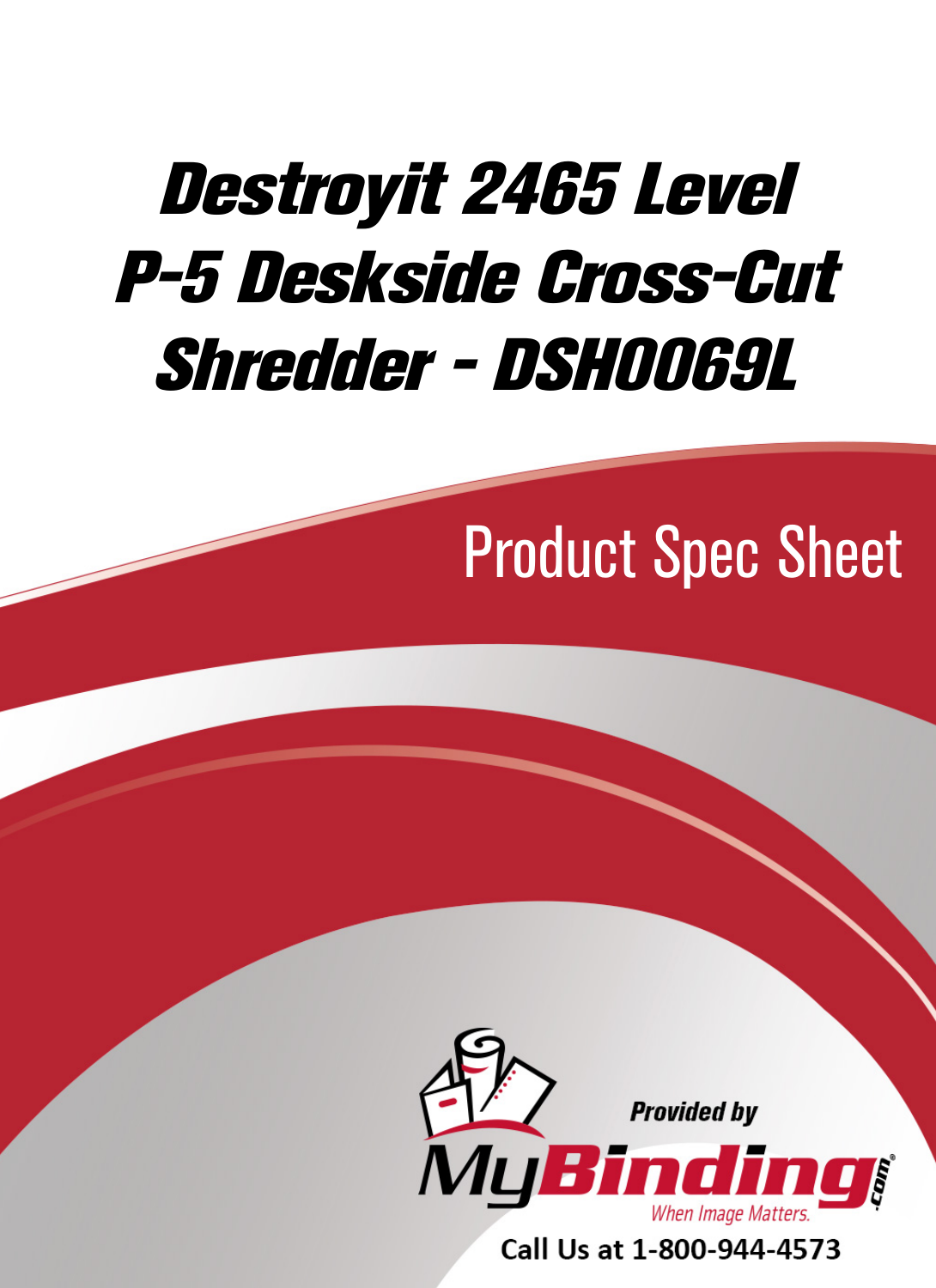# [Destroyit 2465 Level](https://www.mybinding.com/destroyit-2465-level-p-5-deskside-cross-cut-shredder-dsh0069l.html)  P-5 Deskside Cross-Cut Shredder - DSH0069L

## Product Spec Sheet



Call Us at 1-800-944-4573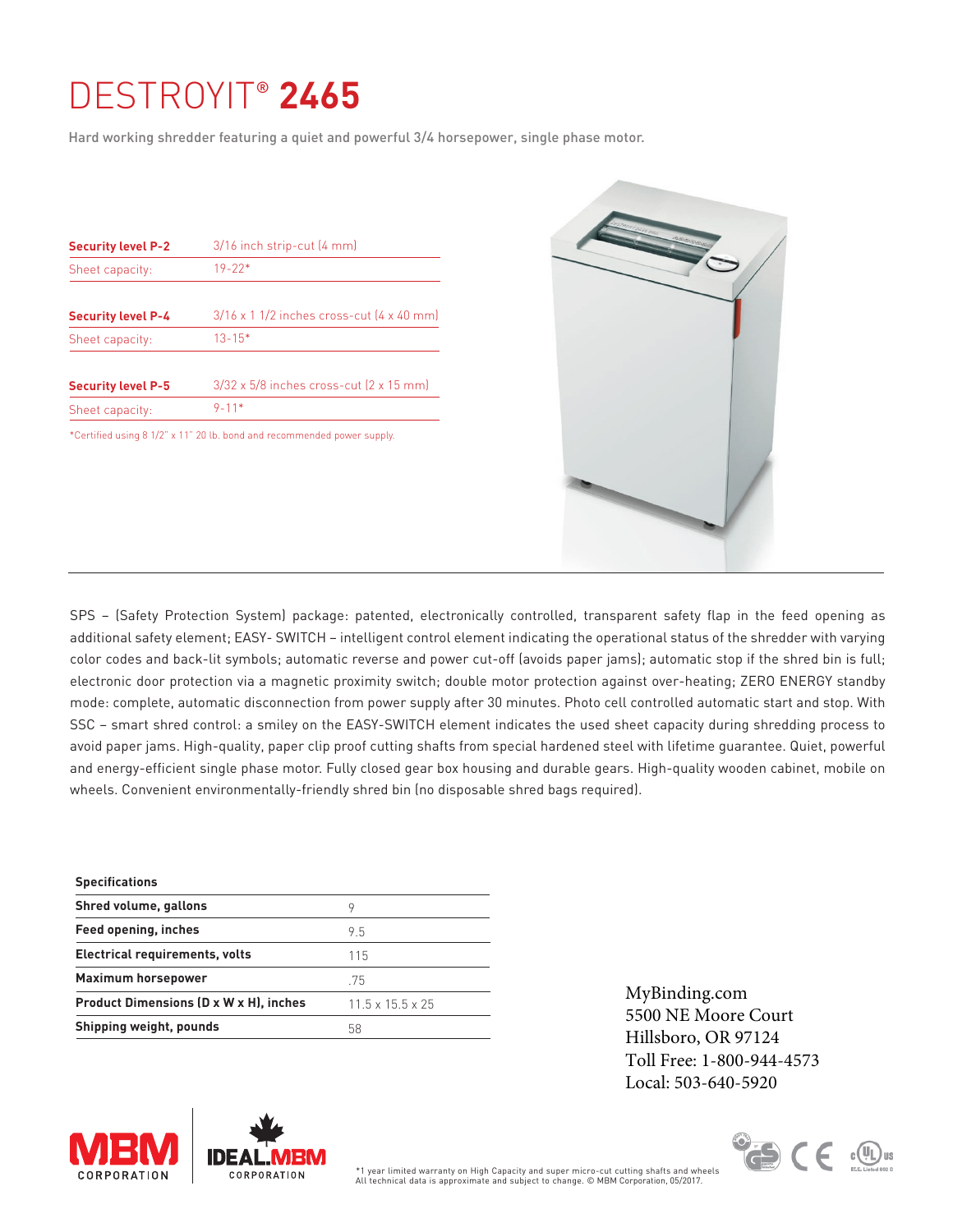### [DESTROYIT](https://www.mybinding.com/destroyit-2465-level-p-5-deskside-cross-cut-shredder-dsh0069l.html)® **2465**

Hard working shredder featuring a quiet and powerful 3/4 horsepower, single phase motor.

| $3/16$ inch strip-cut $(4 \text{ mm})$                          |
|-----------------------------------------------------------------|
| $19 - 22*$                                                      |
| $3/16 \times 1$ 1/2 inches cross-cut $(4 \times 40 \text{ mm})$ |
| $13 - 15*$                                                      |
| $3/32 \times 5/8$ inches cross-cut $(2 \times 15 \text{ mm})$   |
| $9 - 11*$                                                       |
|                                                                 |

\*Certified using 8 1/2" x 11" 20 lb. bond and recommended power supply.



SPS – (Safety Protection System) package: patented, electronically controlled, transparent safety flap in the feed opening as additional safety element; EASY- SWITCH – intelligent control element indicating the operational status of the shredder with varying color codes and back-lit symbols; automatic reverse and power cut-off (avoids paper jams); automatic stop if the shred bin is full; electronic door protection via a magnetic proximity switch; double motor protection against over-heating; ZERO ENERGY standby mode: complete, automatic disconnection from power supply after 30 minutes. Photo cell controlled automatic start and stop. With SSC – smart shred control: a smiley on the EASY-SWITCH element indicates the used sheet capacity during shredding process to avoid paper jams. High-quality, paper clip proof cutting shafts from special hardened steel with lifetime guarantee. Quiet, powerful and energy-efficient single phase motor. Fully closed gear box housing and durable gears. High-quality wooden cabinet, mobile on wheels. Convenient environmentally-friendly shred bin (no disposable shred bags required).

| <b>Specifications</b>                  |                              |
|----------------------------------------|------------------------------|
| Shred volume, gallons                  | 9                            |
| Feed opening, inches                   | 95                           |
| Electrical requirements, volts         | 115                          |
| <b>Maximum horsepower</b>              | .75                          |
| Product Dimensions (D x W x H), inches | $11.5 \times 15.5 \times 25$ |
| Shipping weight, pounds                | 58                           |

[MyBinding.com](http://www.mybinding.com) 5500 NE Moore Court Hillsboro, OR 97124 Toll Free: 1-800-944-4573 Local: 503-640-5920





All technical data is approximate and subject to change. © MBM Corporation, 05/2017. \*1 year limited warranty on High Capacity and super micro-cut cutting shafts and wheels